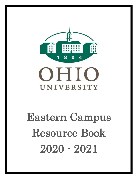

## OHIO UNIVERSITY

# Eastern Campus Resource Book 2020 - 2021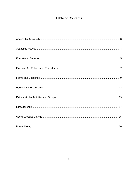### **Table of Contents**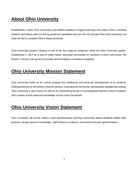## **About Ohio University**

Established in 1804, Ohio University is the oldest institution of higher learning in the state of Ohio. Combine tradition and history with our strong academic reputation and you will not only get Ohio's first university, but what we like to consider Ohio's finest university.

Ohio University Eastern Campus is one of the five regional campuses within the Ohio University system. Established in 1957 as a way to make higher education accessible for students in more rural areas, the Eastern Campus has grown to provide several degree completion-programs.

## **Ohio University Mission Statement**

Ohio University holds as its central purpose the intellectual and personal development of its students. Distinguished by its rich history, diverse campus, international community, and beautiful Appalachian setting, Ohio University is also known as well for its outstanding faculty of accomplished teachers whose research and creative activity advance knowledge across many disciplines.

## **Ohio University Vision Statement**

Ohio University will be the nation's best transformative learning community where students realize their promise, faculty advance knowledge, staff achieve excellence, and alumni become global leaders.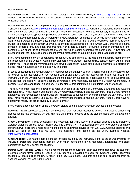#### **Academic Issues**

**Academic Catalog**: The 2020-2021 academic catalog is available electronically at www.catalogs.ohio.edu. It is the student's responsibility to know and follow current requirements and procedures at the departmental, College and University levels.

**Academic Misconduct**: A complete listing of all judiciary expectations can be found in the Student Code of Conduct link located at www.ohio.edu/student-affairs/communitystandards. All forms of academic misconduct are prohibited by the Code of Student Conduct. Academic misconduct refers to dishonesty in assignments or examinations (cheating); presenting the ideas or the writing of someone else as your own (plagiarism); or knowingly furnishing false information to the University by forgery, alteration, or misuse of university documents, records, or identification. Academic misconduct includes, but is not limited to, the following examples: permitting another student to plagiarize or cheat from your work; submitting an academic exercise (written work, printing, sculpture, computer program) that has been prepared totally or in part by another; acquiring improper knowledge of the contents of an exam; using unauthorized material during an exam; submitting the same paper in two different courses without the knowledge and consent of your professors; or submitting a forged grade change slip.

If you have committed any act of academic misconduct, as determined by the judgment of a faculty member or by the procedures of the Office of Community Standards and Student Responsibility, serious action will be taken against you. These actions may include failure of work undertaken, failure of the course, and/or formal disciplinary action, including suspension or expulsion by this office.

In cases of academic misconduct, a faculty member has the authority to grant a failing grade. If your course grade is lowered by an instructor who has accused you of plagiarism, you may appeal this grade first through the instructor, then the Division Coordinator, and then the dean of your college. If satisfaction is not achieved through this process, the dean will appoint a faculty committee of five members, including the Division Coordinator, to consider your case and render a decision. The decision of this committee is not subject to further appeal.

The faculty member has the discretion to refer your case to the Office of Community Standards and Student Responsibility. The Director of Judiciaries, the University Hearing Board, and the University Appeal Board have the authority to take formal action that includes but is not limited to suspension or expulsion from the university. To be clear, however, the Director of Judiciaries, the University Hearing Board, and the University Appeal Board have no authority to modify the grade given by a faculty member.

If you wish to appeal an action of the University, please see the student conduct process on the website.

**Advising** - Each semester students must meet with their assigned academic advisor and discuss scheduling classes for the next semester. An advising hold will only be released once the student meets with the academic advisor.

**Class Cancellation**: It may occasionally be necessary for OHIO Eastern to cancel classes due to inclement weather, water line breaks, power failures, etc. The University will list cancellations on local news stations and radio stations as well as record a message on the telephone answering service at 740-695-1720. Campus closures and alerts will also be sent out via SMS (text message) and posted on the OHIO Eastern website, [http://www.ohio.edu/eastern.](http://www.ohio.edu/eastern)

**Class Absence:** Attendance policies are set for each course by the instructor. Refer to the course syllabus for individual professors' attendance policies. Even when attendance is not mandatory, attendance and class participation can only benefit the student.

**Degree Audit Reports (DARS)**: This is a record of academic courses for each student which shows the student's progress toward his/her degree. Official DARS reports are available through your Student Center. Freshmen students will learn to read the DARS report in their UC 1000 class. Students can also seek assistance from an academic advisor for reading the report.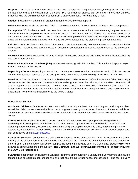**Dropped from a Class**: If a student does not meet the pre-requisite for a particular class, the Registrar's Office has the authority to drop the student from the class. Pre-requisites for classes can be found in the OHIO Catalog. Students who are administratively dropped from a class will receive notification by e-mail.

**Grades**: Students can obtain their grades through the MyOhio student portal.

**Grievance:** Students should see the Division Coordinator, located in Room 305, to initiate a grievance process.

**Incompletes "I"**: Students who do not complete course requirements in the allotted time may be given an extra amount of time to complete the work by the instructor. The student has two weeks into the next semester of enrollment to complete the work. If the "I" grade is not changed by the professor by the appropriate deadline, the grade will be automatically changed to an F and will be calculated into the student's grade point average.

**Lab Assistants**: Professors who teach laboratories select academically talented students to assist them in the laboratories. Students who are interested in becoming lab assistants are encouraged to talk to the professors directly.

**Ohio ID:** All students are assigned an Ohio ID that will be used to access various online functions including logging into your Student Center.

**Personal Identification Numbers (PID):** All students are assigned a PID number. This number will appear on your ID card and your DARS report.

**Repeating a Course**: Repeating a course is to complete a course more than one time for credit. This can only be done with repeatable courses that are designed to be taken more than once (e.g., ENG 1510, HLTH 2010).

**Re-taking a Course**: A regular course with a fixed content can be retaken to affect the student's GPA. Re-taking a course removes the hours and the effects of the earlier grades from the calculation of the GPA. However, all grades appear on the academic record. The last grade earned is the one used to calculate the GPA, even if it is lower than an earlier grade and only the last instance's credit hours are accepted toward any requirement for graduation. For more information refer to the OHIO Catalog.

#### **Educational Services**

**Academic Advisors**: Academic Advisors are available to help students plan their degrees and prepare class schedules. Advisors are also available to check progress toward graduation requirements. Please schedule an appointment to see your advisor each semester. Contact information for your advisor can be found in the student center.

**Career Services:** Career Services provides services and resources to support professional growth and leadership skill development for students and alumni. Several opportunities are available in Career Services including career coaching, resume, and network building, developing leadership skills, participating in mock interviews, and attending career fair/job searches. Jamie Clark is the career coach for the Eastern Campus and can be reached at [clarkj10@ohio.edu.](mailto:clarkj10@ohio.edu)

**Computer Services:** Computers are available to students in the computer lab, which is located in the center hallway of the second floor of Shannon Hall. The computer lab functions as an instructional lab and is open for general use. Other computer facilities on campus include the Library and Learning Commons. Student will only be allowed to print out papers in the Library. **The Computer Lab will be unavailable for the fall semester due to the COVID-19 restrictions.**

**eCampus**: Independent and Distance Learning Programs offer courses in a variety of delivery formats and course technologies so students can choose the one that best fits his or her needs and schedule. The four delivery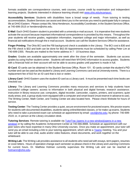formats available are correspondence courses, web courses, course credit by examination and independent learning projects. Students interested in distance learning should visit www.ohio.edu/ecampus/.

**Accessibility Services**: Students with disabilities have a broad range of needs. From tutoring to testing accommodation, Student Services can assist and direct you to the services you need to participate fully in campus life at OHIO Eastern. Please contact Ms. Nina Henderson, Accessibility Coordinator, in the Student Services Office, at 740-699-2515 or hendersn@ohio.edu.

**E-Mail**: Each OHIO Eastern student is provided with a university e-mail account. It is imperative that new students activate the account because important informational correspondence is provided by this means. Throughout the year students will receive grades, registration information, important college and major information, as well as financial aid notifications through the e-mail account. Students can call the Student Services Office for assistance.

**Finger Printing**: The Ohio BCI and the FBI background check is available in the Library. The BCI cost is \$30 and the FBI check is \$32 and both can be done for \$62.00 Appointments must be scheduled by calling Peter Lim at 740-699-2355. Results are mailed to the home address in 7 - 10 business days.

**Grades**: Grades are available approximately one week after the close of the semester. Students can access grades by using his/her student center. Students will need their MYOHIO information to access grades. Students with a financial hold on their account will not be able to access grades until payment is made in full.

**ID Card**: ID cards can be obtained in the Student Services Office, Room 101. ID cards contain the student's PID number and can be used as the student's Library and Learning Commons card and at University events. There is a replacement fee of \$10 for an ID card that is lost or stolen.

**Library Card**: OHIO Eastern uses the student ID card as a Library card. It must be presented each time books are checked out.

**Library**: The Library and Learning Commons provides many resources and services to help students have successful college careers: access to information in both physical and digital formats; research assistance; instruction in library resource use; computers, digital recorder, camcorder, copiers, printers, and scanners; quiet study areas; and, a group study room equipped with a computer and smart board (must reserve in advance to use). The Writing Center, Math Center, and Testing Center are also located here. Please check Website for hours of service.

**Testing Center**: The Testing Center provides a quiet, secure environment for proctored exams. We proctor exams for students with documented disabilities, students taking online/blended classes, or for make-up exams. Students who need to take a proctored exam can schedule an appointment by email: [cecil@ohio.edu;](mailto:cecil@ohio.edu) by phone: 740-699-2519; or, in person at the Library circulation desk.

**Tutoring Services**: Remote tutoring is available via [TutorTrac \(opens in a new window\)\(opens in a new](https://tutoring.aac.ohio.edu/)  [window\)](https://tutoring.aac.ohio.edu/) or by calling the Academic Achievement Center at 740.566.8888. Schedule an appointment with our peer tutors who have expertise in many Ohio University courses. Once you make an appointment, your tutor will send you an email including a link to your tutoring appointment, which will be a [Teams](https://www.ohio.edu/oit/services/collaboration/teams/help) meeting. You and your tutor will be able to use chat, audio and/or video features, share documents, and work together on the whiteboard.

**Writing Lab:** The Writing Lab provides assistance to all students who need aid with essays, term papers, resumes or cover letters. Hours of operation change each semester so please check in the Library and Learning Commons for current hours. Dr. Matthew Holman currently supervises the Writing Lab and can be reached at [holmanm@ohio.edu.](mailto:holmanm@ohio.edu)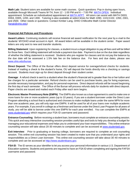**Math Lab:** Student tutors are available for some math courses. Quick questions: Pop in during open hours, available through Microsoft Teams M-TH, from 12 - 1:00 PM and 6 – 7:00 PM [MATH OPEN.](https://teams.microsoft.com/l/meetup-join/19%3ameeting_ZmNmNDhkODQtYWRlMi00MjFjLWI3MzItYzc1ZDVkZTA5OGZk%40thread.v2/0?context=%7b%22Tid%22%3a%22f3308007-477c-4a70-8889-34611817c55a%22%2c%22Oid%22%3a%2216642bab-1b12-4f14-8a76-7ea6aede32fa%22%7d) Individual appointment: Schedule an individualized appointment at [MATH APPT.](https://outlook.office365.com/owa/calendar/OUCMathAppt@catmail.ohio.edu/bookings/) All tutors can assist with MATH D003, D004, D005, 1200, and 1300. Tutoring is also available at select times for Math 1090, 1101/1102, 1350, 2301, and 2500. Other needs or questions: Contact Kimber Lang, OHIO Chillicothe Math Center Director [\(langk@ohio.edu\)](mailto:langk@ohio.edu)

#### **Financial Aid Policies and Procedures**

**Award Letters**: Continuing students will receive financial aid award notification for the next year by e-mail to the students' MYOHIO email account in April. All award letters will be available in the student center. Paper award letters are only sent to new and transfer students.

**Billing Statement**: Upon registering for classes, a student incurs a legal obligation to pay all fees and will be billed for those fees. Each billing statement will include a payment due date. Payment is due on the due date regardless of whether the billing statement is received. Students who pre-register for classes and do not pay the balance by the due date will be assessed a 1.5% late fee on the balance due. For fees and due dates, please see www.ohio.edu/bursar.

**Direct Deposit**: The Office of the Bursar offers direct deposit service for overage/refund checks for students. Instead of mailing a check to the student's home, OU will deposit the funds directly into a checking or savings account. Students must sign-up for direct deposit through their student center.

**Overage**: A refund check is sent to a student when the student's financial aid is greater than his or her tuition and fee charges for a particular semester. Refund checks can be used to purchase books, pay for living expenses, provide necessary transportation, and pay for personal expenses. Direct deposit refunds will be issued beginning the first day of each semester. The Office of the Bursar will process refunds daily for students with direct deposit. Paper checks are issued and mailed each Friday after each term begins.

**Electronic Master Promissory Note (EMPN)**: The EMPN also known as a loan agreement is used to make one or more loans for one or more academic years (up to 10 years). If you are a student borrower under the Direct Loan Program attending a school that is authorized and chooses to make multiple loans under the same MPN for more than one academic year, you will only sign one EMPN. It will be used for all of your loans over multiple academic years. For example, if you enroll in college as a freshman and borrow under the Direct Loan Program for all years of study, you will be able to borrow under this one EMPN for each year enrolled. You can complete the EMPN at [www.studentaid.gov](http://www.studentaid.gov/) which requires your FSA ID username and password.

**Entrance Counseling**: Before receiving a student loan, borrowers must complete an entrance counseling session. This quick and easy interactive counseling session provides useful tips and tools to help you develop a budget for managing your educational expenses and helps you to understand your loan responsibilities. This online entrance counseling session will take about 20-30 minutes to complete and can be accessed at [www.studentaid.gov.](http://www.studentaid.gov/)

**Exit Interview**: Prior to graduating or leaving college, borrowers are required to complete an exit counseling session. This online exit counseling session has been created to make sure that you understand your rights and responsibilities as a Direct Loan borrower. This online exit counseling session will take about 30-40 minutes to complete and can be accessed at [http://www.studentloans.gov.](http://www.studentloans.gov/)

**FSA ID**: The ID serves as your identifier to let you access your personal information in various U.S. Department of Education systems. Students and parents are required to have an FSA ID when completing and signing the FAFSA username and password.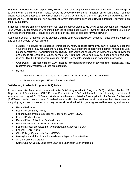**Payment Options:** It is your responsibility to drop all your courses prior to the first day of the term if you do not plan to take them in the current term. Please review the academic calendar for important enrollment dates. You may check your account activity on My OHIO Student Center. A late fee of 1.5% will apply to late payments. Your classes will NOT be dropped for non-payment of current semester tuition/fees **but** will be dropped if payment is on the previous term.

Students: To make an online payment on your student account, login to **My OHIO** portal (Accounts tab) to access your My OHIO Student Center. Under the Finances section select "Make a Payment." This will direct to you to our online payment processor. Please be sure to turn off any pop-up blockers for your browser.

Authorized Users: To make an online payment, login to your "Authorized User" account. Please be sure to turn off any pop-up blockers for your browser.

- eCheck: No service fee is charged for this option. You will need to provide you bank's routing number and your checking or savings account number. If you have questions regarding the correct numbers to use, please contact your financial institution. DO NOT use your debit card number. Dishonored ACH payments and checks are charged a \$25.00 service fee. A returned check hold may be placed on the student's records. This hold will affect registration, grades, transcripts, and diplomas from being processed.
- Credit Card: A processing fee of 2.9% is added to the total payment when paying online. MasterCard, Visa, Discover and American Express are accepted.
- By Mail
	- $\circ$  Payment should be mailed to Ohio University, PO Box 960, Athens OH 45701
	- o Please include your PID number on your check

#### **Satisfactory Academic Progress (SAP) Policy**

In order to receive financial aid, you must make Satisfactory Academic Progress (SAP) as defined by the U.S. Department of Education and OHIO Eastern. Our definition of SAP is different from the University's definition of academic standing. All OHIO Eastern students who have completed a Free Application for Federal Student Aid (FAFSA) and wish to be considered for federal, state, and institutional financial aid must meet the criteria stated in the policy regardless of whether or not they previously received aid. Programs governed by these regulations are:

- Federal Pell Grant
- Federal Work Study (FWS)
- Federal Supplemental Educational Opportunity Grant (SEOG)
- Federal Perkins Loan
- Federal Direct Subsidized Stafford Loan
- Federal Direct Unsubsidized Stafford Loan
- Federal Direct Parent Loan for Undergraduate Students (PLUS)
- Federal TEACH Grant
- Ohio College Opportunity Grant (OCOG)
- Pennsylvania Higher Education Assistance Agency Grant (PHEAA)
- All Ohio University grants
- Some Ohio University Long-term Loan and Short-term Loan Programs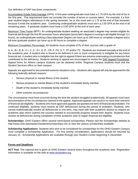Our definition of SAP has three components:

Accumulative Grade Point Average (GPA): A first-year undergraduate must have a 1.75 GPA by the end of his or her first year. This requirement does not consider the number of terms or courses taken. For example, if a firstyear student begins attendance in the spring semester, he or she must earn a 1.75 at the end of that semester because it ends the academic year. Continuing undergraduate students must earn a 2.00 GPA at the end of all remaining years. A graduate student must have a 3.00 GPA at the end of each year.

Maximum Time Frame (MTF): An undergraduate student seeking an associate's degree may remain eligible for financial aid through the first 90 semester hours attempted (associate's degree in nursing is aid eligible through 111 hours), an undergraduate seeking a Baccalaureate Degree can have up to 180 hours to complete a degree and a full-time graduate student can have up to 90 hours to complete a degree.

Minimum Completion Percentage: All students must complete 67% of their courses with a grade of:

A, A-, B+, B, B-, C+, C, C-, D+, D, D-, CR, P, PS, S, T, TP and/or TD. Students are reviewed annually at the end of the academic year. A student who is found to be deficient in one or more components is ineligible for any future financial aid. A student who is ineligible has the right to appeal if there are extreme extenuating circumstances that contributed to the deficiency. Students wishing to appeal are encouraged to review the SAP Appeal Procedures. Appeal forms for Athens campus students can be obtained online. Regional Campus students must visit the Student Services office on their campus.

Appeals are approved for documented extreme situations only – Students who appeal will only be approved for the following federally defined reasons:

- Serious physical or mental illness of the student
- Serious physical or mental illness of the student's immediate family member
- Death of the student's immediate family member
- Other extreme circumstances

The circumstance must have occurred during the time the student struggled academically. All appeals must have documentation of the circumstances claimed in the appeal. Approved appeals can result in no more than one term of financial aid eligibility – Students who have approved appeals are granted one term of financial aid probation. For continued eligibility, students must resolve all SAP deficiencies during this period of probation. Students, who cannot mathematically resolve all deficiencies in one term, may meet with their academic advisor to request an academic plan which outlines the courses needed to successfully progress toward their degree. Students must resolve all deficiencies during completion of their academic plan to regain financial aid eligibility.

**Scholarships**: OHIO Eastern offers several merit-based scholarships. Please visit the Scholarships website at http://www.ohio.edu/eastern/students/scholarships.cfm to view the various scholarships available.

**Scholarship Applications**: Students who wish to be considered for scholarships for the OHIO Eastern Campus must complete a Scholarship Application. For first priority consideration, applications should be returned by January 15. Scholarship Applications are available through your Student Center beginning in December.

#### **Forms and Deadlines**

**ACT Test**: The national test is given at OHIO Eastern several times throughout the academic year. Registration information is available on the web at www.actstudent.org.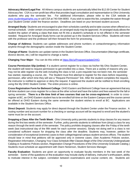**Advocacy Waiver/Legal Fee**: All Athens campus students are automatically billed the \$12.00 Center for Student Advocacy fee. CSA is a non-profit law office that provides legal consultation and representation to Ohio University students who pay the semester fee. For additional information, please refer to the CSA website at www.studentlegalrights.org or call CSA at 740-594-8093. If you wish to waive this fee, complete the waiver through your Student Center under the finance section. Deadlines are listed on your itemized student account.

**Arranged Study**: Students are encouraged to plan their schedules carefully and to take courses when offered on a normal schedule. Under certain circumstances, an arranged study may be approved. An arranged study allows the student the option of taking a class that does not fit into a student's schedule or is not offered in the semester needed. Request for Arranged Study forms can be picked up in the Student Services Office. Students will meet with the professor and the professor will then forward the form for processing.

**Change of Address**: Students can update addresses and phone numbers or contact/emergency information anytime through the demographic section inside the Student Center.

**Change of Name**: Students can update names in the Student Services Office. Documentation (Marriage certificate, divorce decree, etc.) will be required to change a name.

**Changing Your Major**: You can do this online at [https://bit.ly/ProgramUpdateOHIO.](https://bit.ly/ProgramUpdateOHIO)

**Course Permission Slip (online)**: If a student cannot register for a class via his/her My Ohio Student Center, the student will need to request permission to get enrolled into a class. There are a variety of reasons why you may not be able register via the web including the class is full, a pre-requisite has not been met, the semester has started, repeating a course, etc. The Student must first attempt to register for the class before requesting permission, after which time they will see a "Request Permission" link. After the student completes the request, the instructor is notified to approve or deny the request. If approved the student will be notified to finish enrolling using the My OHIO Student Center. The entire process is online.

**Cross Registration Form for Belmont College**: OHIO Eastern and Belmont College have an agreement that any full-time student can cross-register for a class at the other school and have the tuition and fees waived for the fall or spring semester. **There is a life-time limit of two courses that can be cross-registered.** In order to crossregister at BC, an OHIO Eastern student has to be enrolled full-time on the Eastern Campus and the course cannot be offered at OHIO Eastern during the same semester the student wishes to enroll at BC. Applications are available in the Student Services Office.

**Direct Deposit**: Students may apply for direct deposit through the Student Center under the Finance section. A routing number and account number for a checking or savings account will be required to enroll and the student's name must be on the account.

**Dropping a Class After the Tenth Week**: Ohio University policy permits students to drop classes for any reason during the first two weeks of the semester. Further, policy permits students to withdraw from (drop) a class for any reason through the tenth week of the semester. The policy prohibits dropping classes after the Friday of the tenth week (last instructional day of the fifth week for each summer session). Simply not doing well in a class is not considered sufficient reason for dropping the class after the deadline. Students may, however, petition for consideration of exceptional (extreme) cases to their college/regional campus student services offices. The student should bear in mind that petitions will be approved only in extreme cases. (See Academic Policies section, Registration Information, Changing Your Class Schedule After Classes Begin of the Ohio University Undergraduate Catalog or Academic Policies section, Registration Change Procedures of the Ohio University Graduate Catalog.) Students must schedule an appointment with Diann Nickerson, Student Services Manager.

**Faculty Evaluation**: Students are given an opportunity to evaluate faculty members in the last week of the semester. Some of the questions on the evaluation may include clarity of delivery, instructor's enthusiasm, ability to motivate interest in the subject, correlation between examinations and course content, etc. Students are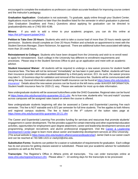encouraged to complete the evaluations so professors can obtain accurate feedback for improving course content and the instructor's pedagogy.

**Graduation Application**: Graduation is not automatic. To graduate, apply online through your Student Center. Applications must be completed no later than the deadline listed for the semester in which graduation is planned. (See Graduation Deadlines and Fees.) Questions about applying for graduation can be directed to graduation@ohio.edu or (740) 593-4196.

**Minors**: If you wish to add a minor to your academic program, you can do this online at [https://bit.ly/ProgramUpdateOHIO.](https://bit.ly/ProgramUpdateOHIO)

**Petition to Take Over 20 Hours**: Students who wish to take a course load of more than 20 hours needs special permission. Students should complete an Over 20 Hours Petition and schedule an appointment to meet with the Student Services Manager, Diann Nickerson, for approval. There are additional tuition fees associated with taking more than 20 credit hours.

**Reinstatement to Colleges**: Students who have been dropped from the University and wish to re-enroll need to apply for reinstatement. Each college in the University has different re-enrollment requirements and processes. Please stop in the Student Services Office to pick up an application and meet with an academic advisor.

**Student Insurance/ Waiver**: All students will be required to undergo a new waiver process for student health insurance fees. The fees will not be removed "immediately" as has been in past years. Rather, students will have their insurance provider information audited/validated by a third-party servicer, ECI. As such, the waiver process may take 5 - 10 business days for validation and removal of the insurance fee. Students will be communicated with along the way. General information about student health insurance can be found at [https://www.ohio.edu/student](https://www.ohio.edu/student-insurance/)[insurance/](https://www.ohio.edu/student-insurance/) Details about the new waiver process can be found on the left menu under WAIVER INFORMATION. Student health insurance fees for 2020-21 vary. Please see website for most up-to-date information.

New undergraduate students will be assessed tuition/fees under the OHIO Guarantee. Regional rates can be found a[t https://www.ohio.edu/bursar/ohio-guarantee-20-21.cfm](https://www.ohio.edu/bursar/ohio-guarantee-20-21.cfm) As is true now, students who "mix and match" courses across campuses will be assigned rates based on where the course is offered.

New undergraduate students beginning will also be assessed a Career and Experiential Learning Fee each semester. This fee is NOT waivable and is \$72 per semester for full time students. The fee applies to both Athens and regional campus students. The fee is listed in the  $4<sup>th</sup>$  column of the tuition rates page at [https://www.ohio.edu/bursar/ohio-guarantee-20-21.cfm](https://www.ohio.edu/bursar/ohio-guarantee-19-20.cfm)

The Career and Experiential Learning Fee provides funding for services and resources that promote students' engagement in career development. The fee provides support for certain internship and other experiential education activities, opportunities for employment upon degree attainment, career and leadership development services and programming, employer recruitment, and alumni professional engagement. Visit the [Career & Leadership](https://www.ohio.edu/careerandleadership/)  [Development Center](https://www.ohio.edu/careerandleadership/) page to learn more about career and leadership development services at Ohio University. (The actual website is [https://www.ohio.edu/student-affairs/careerandleadership/\)](https://www.ohio.edu/student-affairs/careerandleadership/) Jamie Clark is our career coach and can be reached at 740-588-1415 or clarkj10@ohio.edu.

**Substitution Forms**: Students can petition for a waiver or substitution of requirements for graduation. Each college has its own process for getting classes waived or substituted. Please see your academic advisor for substitution questions as well as the forms.

**Transcripts**: The Registrar's Office in Athens prints all transcripts. You can order transcripts online at [www.ohio.edu/registrar/transcri.cfm.](http://www.ohio.edu/registrar/transcri.cfm) Please allow 7 - 10 working days for the transcripts to be processed.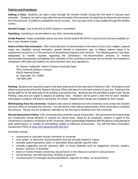#### **Policies and Procedures**

**Adding a Class**: Students can add a class through the Student Center during the first week of classes each semester. Students can add a class after the second week of the semester by obtaining an electronic permission from the instructor. A waitlist is available for some courses. You may sign up for a class waitlist through the Student Center.

**Alcohol Usage**: Use of alcohol at OHIO Eastern is prohibited.

**Gambling**: Gambling is not permitted in any Ohio University building.

**Grade Reports**: Grade availability notices are sent via the student MYOHIO e-mail account and are available online in your Student Center.

**Notice of Non-Discrimination:** Ohio University does not discriminate on the basis of race, color, religion, national origin, sex, disability, sexual orientation, gender identity or expression, age, or military veteran status in its employment practices or in the provision of educational programs and services. The following person has been designated to handle inquiries regarding the University's non-discrimination policies, to receive discrimination/harassment complaints from members of the university community and to monitor the institution's compliance with state and federal non-discrimination laws and regulations:

Dr. Warren Galbreath, Interim Campus Associate Dean Ohio University Eastern Campus 45425 National Road St. Clairsville, OH 43950 740-699-2494

**Parking**: Students are required to park in the lower parking lot on the east side of Shannon Hall. All students must obtain a parking decal from the Student Services Office and place it in the back window of your car. Parking in the faculty-staff lot on the west side of the building is by permit only. Students are not permitted to park in the "Guest Parking" area and are urged to respect all parking rules. Violators will be given a \$20 fine for each violation. Subsequent violations will lead to having the car towed. Replacement decals are available for \$10 charge.

**Withdrawing from the University**: Students who want to withdraw from the University must contact the Student Services Office to complete this process. You will need to meet with an administrator of the University to complete the process. Please see the academic calendar for the last day to withdraw from the University.

**Sexual Harassment Policy:** Ohio University policy prohibits sexual harassment. Sexual harassment may include any unwelcome sexual advance or request for sexual favor, made by an employee, student or agent of the University to a student or employee of the University, which substantially interferes with the person's educational or work performance, or creates an intimidating, hostile or offensive environment. You will find Ohio University's Harassment Policy at [www.ohio.edu/policy/03-004.html.](http://www.ohio.edu/policy/03-004.html)

Examples include:

- unwelcome or uninvited sexual comments or innuendo
- oral, written, or electronic communications that are sexually explicit in nature
- sexually explicit questions, jokes, or anecdotes about gender specific traits
- sexually suggestive sounds, gestures, gifts, or visual materials such as magazines, pictures, posters, photos, cartoons, or drawings
- **EXECT** direct or indirect threats concerning sexual favors or the refusal to consent to sexual favors
- sexual leering, uninvited touching, stroking or gestures
- communication of unsought sexual propositions, requests for dates, or sexual favors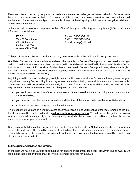Fears are often expressed by people who experience unwanted sexual or gender-based behavior. Do not let these fears stop you from seeking help. You have the right to work in a harassment-free work and educational environment. Supervisors are obliged to foster this climate. University policy prohibits retaliation against individuals who raise such concerns.

Submit sexual harassment complaints to the Office of Equity and Civil Rights Compliance (ECRC). Contact information is as follows:

Lindley Hall 006 Athens, OH 45701

ECRC Phone: 740-593-9140 Title IX Coordinator Title 1X Coordinator Communication CASS FAX: 740-593-9168 Ohio University E-Mail: equity@ohio.edu

**Tobacco Products**: Tobacco products can only be used outside of the buildings in designated areas.

**Waitlists:** Classes that have waitlists available will be identified in Course Offerings with a class note indicating a waitlist is available. Additionally, a class that has a waitlist available will be identified in the My OHIO Student Center by a "Wait list if class is full" checkbox. If a class has a class note in Course Offerings indicating it has a waitlist, but the "waitlist if class is full" checkbox does not appear, it means the waitlist for that class is full (i.e., there are no more spaces available on the waitlist).

By joining a waitlist, you acknowledge you might be enrolled in that class without further notification, as well as your obligation to pay any fees resulting in your registration in the class. Being on a waitlist means that you are on a list of students who will be enrolled automatically in a class if seats become available and you meet all other requirements. Other requirements that could keep you out of a class are:

- you are in another section of the same course and the course does not allow multiple enrollments in the same semester;
- you have another class on your schedule and the time of that class conflicts with the waitlisted class;
- instructor permission is required to get into the class.

This means that if you are on a waitlist, a seat becomes available, and you meet all of the requirements to get into the class, you will be enrolled in the class **without additional notice to you**. You will not be charged for being on a waitlist, but you will be charged if you are subsequently enrolled in that class and the additional enrollment results in an increase in what your fees should be.

Being on a waitlist does not mean you will necessarily be enrolled in a class. Not all students who are on waitlists get into those classes. This could be because they don't meet some additional requirements (as described above) or simply because seats do not become available for the classes. You should not assume you will be enrolled in a class for which you waitlist.

#### **Extracurricular Activities and Groups**

In the past we have had various opportunities for student engagement (see list). However, due to COVID-19 restrictions these opportunities may be limited to remote activities for fall 2020.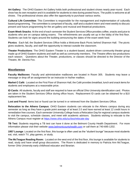**Art Gallery**: The OHIO Eastern Art Gallery holds both professional and student shows nearly year-round. Each show has its own reception and it is available for students to view during posted hours. The public is welcome at all shows. The professional shows also offer the opportunity to purchase various works.

**Cultural Life Committee**: This Committee is responsible for the management and implementation of culturally based programming. The committee is comprised of faculty, staff and a student intern and meet weekly to discuss present and future programming for the art gallery and musical and theatrical productions.

**Exam Week Snacks**: At the end of each semester the Student Services Office provides coffee, snacks and juice to students who are on campus taking exams. The refreshments are usually set up in the lobby of the first floor. Students can look for signs around the building announcing the dates of the exam week food.

**Picnics**: Each fall, the Student Services Office holds a Welcome Back Picnic behind Shannon Hall. The picnic gives students, faculty, and staff the opportunity to interact outside the classroom.

**Theater Productions**: The OHIO Eastern Theater is a student-based, student-driven community theater group made up of OHIO Eastern students and staff as well as community members. The Theatre offers two productions each season. Questions about the Theater, productions, or classes should be directed to the Director of the Theatre, Mr. Dennis Fox.

#### **Miscellaneous**

**Faculty Mailboxes**: Faculty and administrative mailboxes are located in Room 305. Students may leave a message or drop off an assignment for an instructor in his/her mailbox.

**Market C Café:** Located on the First Floor of Shannon Hall, the Café provides breakfast, lunch and snack items for students and employees at a reasonable price.

**ID Cards**: All students, faculty and staff are required to have an official Ohio University identification card. Photos are taken in the Student Services Office during office hours. Replacement ID cards can be obtained for a \$10 replacement fee.

**Lost and Found**: Items lost or found can be turned in or retrieved from the Student Services Office.

**Relocation to the Athens Campus**: OHIO Eastern students can relocate to the Athens campus during any semester as long as they have a grade point average of at least 2.0 and have earned at least 12 credit hours in remediation free courses. Each semester University College hosts a Relocation Day for regional campus students to visit the campus, schedule classes, and meet with academic advisors. Students wishing to relocate to the Athens Campus must register at <https://www.ohio.edu/uc/bso/relocate-day>

**TB Test**: Students requiring a TB test can have it done at the Belmont County Health Department. For more information please visit their website [www.belmontcountyhealth.com](http://www.belmontcountyhealth.com/) or call them at 740-695-1202.

**1957 Lounge**: Located on the first floor, this lounge is often used as the "student lounge" because most students eat, visit, watch TV, play games, or study.

**The McTeague Reading Room:** Located on the west end of the first floor, this lounge is available for students to read, study and have small group discussions. The Room is dedicated in memory to Patricia Ann McTeague, former Ohio University early childhood educator and librarian.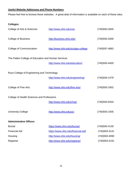#### **Useful Website Addresses and Phone Numbers**

Please feel free to browse these websites. A great deal of information is available on each of these sites.

|  | <b>Colleges:</b> |
|--|------------------|
|  |                  |

| College of Arts & Sciences                         | http://www.ohio.edu/cas             | (740) 593-2845   |  |  |  |
|----------------------------------------------------|-------------------------------------|------------------|--|--|--|
| <b>College of Business</b>                         | http://business.ohio.edu/           | (740)593-2000    |  |  |  |
| College of Communication                           | http://www.ohio.edu/scripps-college | (740) 597-4883   |  |  |  |
| The Patten College of Education and Human Services |                                     |                  |  |  |  |
|                                                    | http://www.ohio.edu/education/      | (740)593-4400    |  |  |  |
| Russ College of Engineering and Technology         |                                     |                  |  |  |  |
|                                                    | http://www.ohio.edu/engineering/    | (740) 593 - 1479 |  |  |  |
| College of Fine Arts                               | http://www.ohio.edu/fine-arts/      | (740)593-1802    |  |  |  |
| College of Health Sciences and Professions         |                                     |                  |  |  |  |
|                                                    | http://www.ohio.edu/chsp/           | (740)593-9334    |  |  |  |
| <b>University College</b>                          | http://www.ohio.edu/uc/             | (740) 593 - 1935 |  |  |  |
| <b>Administrative Offices:</b>                     |                                     |                  |  |  |  |
| <b>Bursar</b>                                      | https://www.ohio.edu/bursar/        | (740)593-4130    |  |  |  |
| <b>Financial Aid</b>                               | https://www.ohio.edu/financial-aid/ | (740) 593-4141   |  |  |  |
| Housing                                            | http://www.ohio.edu/housing/        | (740)593-4090    |  |  |  |
| Registrar                                          | http://www.ohio.edu/registrar/      | (740)593-4191    |  |  |  |